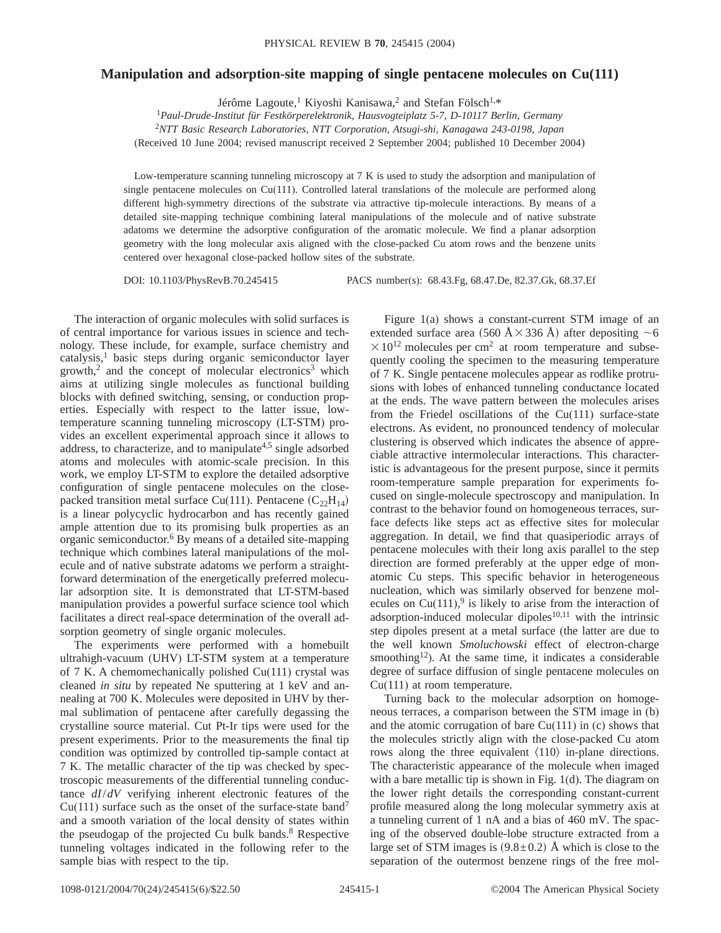## **Manipulation and adsorption-site mapping of single pentacene molecules on Cu(111)**

Jérôme Lagoute,1 Kiyoshi Kanisawa,2 and Stefan Fölsch1,\* <sup>1</sup>*Paul-Drude-Institut für Festkörperelektronik, Hausvogteiplatz 5-7, D-10117 Berlin, Germany*

2 *NTT Basic Research Laboratories, NTT Corporation, Atsugi-shi, Kanagawa 243-0198, Japan*

(Received 10 June 2004; revised manuscript received 2 September 2004; published 10 December 2004)

Low-temperature scanning tunneling microscopy at 7 K is used to study the adsorption and manipulation of single pentacene molecules on Cu(111). Controlled lateral translations of the molecule are performed along different high-symmetry directions of the substrate via attractive tip-molecule interactions. By means of a detailed site-mapping technique combining lateral manipulations of the molecule and of native substrate adatoms we determine the adsorptive configuration of the aromatic molecule. We find a planar adsorption geometry with the long molecular axis aligned with the close-packed Cu atom rows and the benzene units centered over hexagonal close-packed hollow sites of the substrate.

DOI: 10.1103/PhysRevB.70.245415 PACS number(s): 68.43.Fg, 68.47.De, 82.37.Gk, 68.37.Ef

The interaction of organic molecules with solid surfaces is of central importance for various issues in science and technology. These include, for example, surface chemistry and catalysis,<sup>1</sup> basic steps during organic semiconductor layer growth, $2$  and the concept of molecular electronics<sup>3</sup> which aims at utilizing single molecules as functional building blocks with defined switching, sensing, or conduction properties. Especially with respect to the latter issue, lowtemperature scanning tunneling microscopy (LT-STM) provides an excellent experimental approach since it allows to address, to characterize, and to manipulate<sup>4,5</sup> single adsorbed atoms and molecules with atomic-scale precision. In this work, we employ LT-STM to explore the detailed adsorptive configuration of single pentacene molecules on the closepacked transition metal surface Cu(111). Pentacene  $(C_{22}H_{14})$ is a linear polycyclic hydrocarbon and has recently gained ample attention due to its promising bulk properties as an organic semiconductor.6 By means of a detailed site-mapping technique which combines lateral manipulations of the molecule and of native substrate adatoms we perform a straightforward determination of the energetically preferred molecular adsorption site. It is demonstrated that LT-STM-based manipulation provides a powerful surface science tool which facilitates a direct real-space determination of the overall adsorption geometry of single organic molecules.

The experiments were performed with a homebuilt ultrahigh-vacuum (UHV) LT-STM system at a temperature of 7 K. A chemomechanically polished Cu(111) crystal was cleaned *in situ* by repeated Ne sputtering at 1 keV and annealing at 700 K. Molecules were deposited in UHV by thermal sublimation of pentacene after carefully degassing the crystalline source material. Cut Pt-Ir tips were used for the present experiments. Prior to the measurements the final tip condition was optimized by controlled tip-sample contact at 7 K. The metallic character of the tip was checked by spectroscopic measurements of the differential tunneling conductance *dI*/*dV* verifying inherent electronic features of the  $Cu(111)$  surface such as the onset of the surface-state band<sup>7</sup> and a smooth variation of the local density of states within the pseudogap of the projected Cu bulk bands.<sup>8</sup> Respective tunneling voltages indicated in the following refer to the sample bias with respect to the tip.

Figure 1(a) shows a constant-current STM image of an extended surface area (560 Å $\times$ 336 Å) after depositing  $\sim$ 6  $\times$  10<sup>12</sup> molecules per cm<sup>2</sup> at room temperature and subsequently cooling the specimen to the measuring temperature of 7 K. Single pentacene molecules appear as rodlike protrusions with lobes of enhanced tunneling conductance located at the ends. The wave pattern between the molecules arises from the Friedel oscillations of the Cu(111) surface-state electrons. As evident, no pronounced tendency of molecular clustering is observed which indicates the absence of appreciable attractive intermolecular interactions. This characteristic is advantageous for the present purpose, since it permits room-temperature sample preparation for experiments focused on single-molecule spectroscopy and manipulation. In contrast to the behavior found on homogeneous terraces, surface defects like steps act as effective sites for molecular aggregation. In detail, we find that quasiperiodic arrays of pentacene molecules with their long axis parallel to the step direction are formed preferably at the upper edge of monatomic Cu steps. This specific behavior in heterogeneous nucleation, which was similarly observed for benzene molecules on  $Cu(111)$ ,<sup>9</sup> is likely to arise from the interaction of adsorption-induced molecular dipoles $10,11$  with the intrinsic step dipoles present at a metal surface (the latter are due to the well known *Smoluchowski* effect of electron-charge smoothing<sup>12</sup>). At the same time, it indicates a considerable degree of surface diffusion of single pentacene molecules on Cu(111) at room temperature.

Turning back to the molecular adsorption on homogeneous terraces, a comparison between the STM image in (b) and the atomic corrugation of bare  $Cu(111)$  in (c) shows that the molecules strictly align with the close-packed Cu atom rows along the three equivalent  $\langle 110 \rangle$  in-plane directions. The characteristic appearance of the molecule when imaged with a bare metallic tip is shown in Fig. 1(d). The diagram on the lower right details the corresponding constant-current profile measured along the long molecular symmetry axis at a tunneling current of 1 nA and a bias of 460 mV. The spacing of the observed double-lobe structure extracted from a large set of STM images is  $(9.8\pm0.2)$  Å which is close to the separation of the outermost benzene rings of the free mol-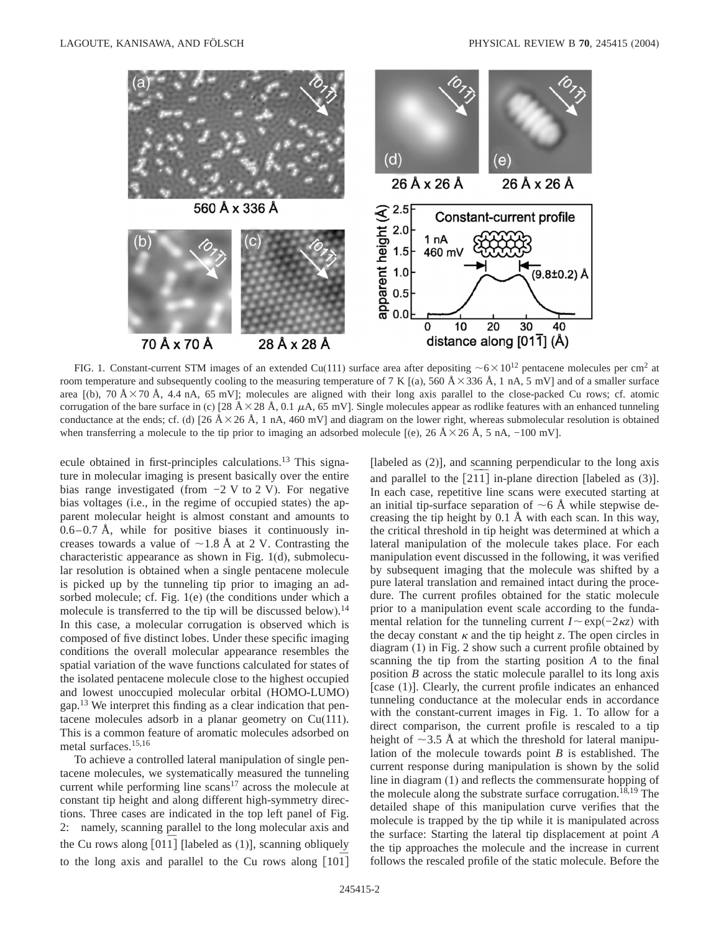

FIG. 1. Constant-current STM images of an extended Cu(111) surface area after depositing  $\sim 6 \times 10^{12}$  pentacene molecules per cm<sup>2</sup> at room temperature and subsequently cooling to the measuring temperature of 7 K [(a), 560  $\AA$  × 336  $\AA$ , 1 nA, 5 mV] and of a smaller surface area [(b), 70 Å $\times$ 70 Å, 4.4 nA, 65 mV]; molecules are aligned with their long axis parallel to the close-packed Cu rows; cf. atomic corrugation of the bare surface in (c)  $\left[28 \text{ Å} \times 28 \text{ Å}, 0.1 \mu\text{A}, 65 \text{ mV}\right]$ . Single molecules appear as rodlike features with an enhanced tunneling conductance at the ends; cf. (d) [26  $\AA \times 26 \text{ Å}$ , 1 nA, 460 mV] and diagram on the lower right, whereas submolecular resolution is obtained when transferring a molecule to the tip prior to imaging an adsorbed molecule [(e), 26 Å $\times$ 26 Å, 5 nA, −100 mV].

ecule obtained in first-principles calculations.<sup>13</sup> This signature in molecular imaging is present basically over the entire bias range investigated (from −2 V to 2 V). For negative bias voltages (i.e., in the regime of occupied states) the apparent molecular height is almost constant and amounts to  $0.6-0.7$  Å, while for positive biases it continuously increases towards a value of  $\sim$ 1.8 Å at 2 V. Contrasting the characteristic appearance as shown in Fig. 1(d), submolecular resolution is obtained when a single pentacene molecule is picked up by the tunneling tip prior to imaging an adsorbed molecule; cf. Fig. 1(e) (the conditions under which a molecule is transferred to the tip will be discussed below).<sup>14</sup> In this case, a molecular corrugation is observed which is composed of five distinct lobes. Under these specific imaging conditions the overall molecular appearance resembles the spatial variation of the wave functions calculated for states of the isolated pentacene molecule close to the highest occupied and lowest unoccupied molecular orbital (HOMO-LUMO) gap.<sup>13</sup> We interpret this finding as a clear indication that pentacene molecules adsorb in a planar geometry on Cu(111). This is a common feature of aromatic molecules adsorbed on metal surfaces.15,16

To achieve a controlled lateral manipulation of single pentacene molecules, we systematically measured the tunneling current while performing line  $scans<sup>17</sup>$  across the molecule at constant tip height and along different high-symmetry directions. Three cases are indicated in the top left panel of Fig. 2: namely, scanning parallel to the long molecular axis and the Cu rows along  $[011]$  [labeled as  $(1)$ ], scanning obliquely to the long axis and parallel to the Cu rows along [101<sup>]</sup> [labeled as (2)], and scanning perpendicular to the long axis and parallel to the  $[2\overline{1}\overline{1}]$  in-plane direction [labeled as (3)]. In each case, repetitive line scans were executed starting at an initial tip-surface separation of  $\sim$  6 Å while stepwise decreasing the tip height by 0.1 Å with each scan. In this way, the critical threshold in tip height was determined at which a lateral manipulation of the molecule takes place. For each manipulation event discussed in the following, it was verified by subsequent imaging that the molecule was shifted by a pure lateral translation and remained intact during the procedure. The current profiles obtained for the static molecule prior to a manipulation event scale according to the fundamental relation for the tunneling current  $I \sim \exp(-2\kappa z)$  with the decay constant  $\kappa$  and the tip height *z*. The open circles in diagram (1) in Fig. 2 show such a current profile obtained by scanning the tip from the starting position *A* to the final position *B* across the static molecule parallel to its long axis [case (1)]. Clearly, the current profile indicates an enhanced tunneling conductance at the molecular ends in accordance with the constant-current images in Fig. 1. To allow for a direct comparison, the current profile is rescaled to a tip height of  $\sim$ 3.5 Å at which the threshold for lateral manipulation of the molecule towards point *B* is established. The current response during manipulation is shown by the solid line in diagram (1) and reflects the commensurate hopping of the molecule along the substrate surface corrugation.<sup>18,19</sup> The detailed shape of this manipulation curve verifies that the molecule is trapped by the tip while it is manipulated across the surface: Starting the lateral tip displacement at point *A* the tip approaches the molecule and the increase in current follows the rescaled profile of the static molecule. Before the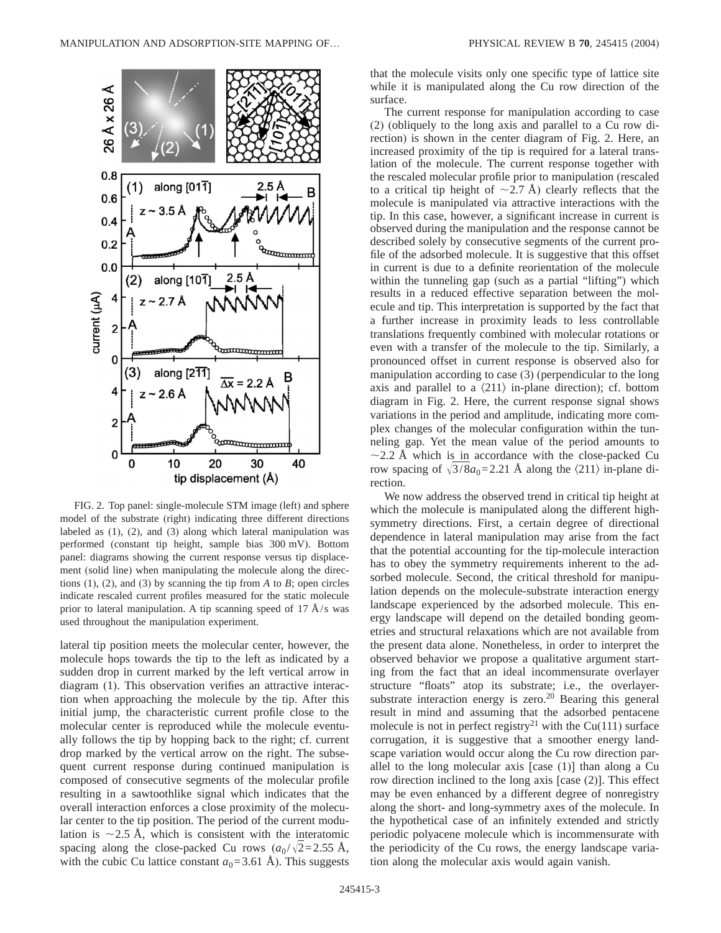

FIG. 2. Top panel: single-molecule STM image (left) and sphere model of the substrate (right) indicating three different directions labeled as (1), (2), and (3) along which lateral manipulation was performed (constant tip height, sample bias 300 mV). Bottom panel: diagrams showing the current response versus tip displacement (solid line) when manipulating the molecule along the directions  $(1)$ ,  $(2)$ , and  $(3)$  by scanning the tip from *A* to *B*; open circles indicate rescaled current profiles measured for the static molecule prior to lateral manipulation. A tip scanning speed of 17  $A/s$  was used throughout the manipulation experiment.

lateral tip position meets the molecular center, however, the molecule hops towards the tip to the left as indicated by a sudden drop in current marked by the left vertical arrow in diagram (1). This observation verifies an attractive interaction when approaching the molecule by the tip. After this initial jump, the characteristic current profile close to the molecular center is reproduced while the molecule eventually follows the tip by hopping back to the right; cf. current drop marked by the vertical arrow on the right. The subsequent current response during continued manipulation is composed of consecutive segments of the molecular profile resulting in a sawtoothlike signal which indicates that the overall interaction enforces a close proximity of the molecular center to the tip position. The period of the current modulation is  $\sim$ 2.5 Å, which is consistent with the interatomic spacing along the close-packed Cu rows  $(a_0/\sqrt{2}=2.55 \text{ Å})$ , with the cubic Cu lattice constant  $a_0$ =3.61 Å). This suggests that the molecule visits only one specific type of lattice site while it is manipulated along the Cu row direction of the surface.

The current response for manipulation according to case (2) (obliquely to the long axis and parallel to a Cu row direction) is shown in the center diagram of Fig. 2. Here, an increased proximity of the tip is required for a lateral translation of the molecule. The current response together with the rescaled molecular profile prior to manipulation (rescaled to a critical tip height of  $\sim$ 2.7 Å) clearly reflects that the molecule is manipulated via attractive interactions with the tip. In this case, however, a significant increase in current is observed during the manipulation and the response cannot be described solely by consecutive segments of the current profile of the adsorbed molecule. It is suggestive that this offset in current is due to a definite reorientation of the molecule within the tunneling gap (such as a partial "lifting") which results in a reduced effective separation between the molecule and tip. This interpretation is supported by the fact that a further increase in proximity leads to less controllable translations frequently combined with molecular rotations or even with a transfer of the molecule to the tip. Similarly, a pronounced offset in current response is observed also for manipulation according to case (3) (perpendicular to the long axis and parallel to a  $\langle 211 \rangle$  in-plane direction); cf. bottom diagram in Fig. 2. Here, the current response signal shows variations in the period and amplitude, indicating more complex changes of the molecular configuration within the tunneling gap. Yet the mean value of the period amounts to  $\sim$ 2.2 Å which is in accordance with the close-packed Cu row spacing of  $\sqrt{3}/8a_0=2.21$  Å along the  $\langle 211 \rangle$  in-plane direction.

We now address the observed trend in critical tip height at which the molecule is manipulated along the different highsymmetry directions. First, a certain degree of directional dependence in lateral manipulation may arise from the fact that the potential accounting for the tip-molecule interaction has to obey the symmetry requirements inherent to the adsorbed molecule. Second, the critical threshold for manipulation depends on the molecule-substrate interaction energy landscape experienced by the adsorbed molecule. This energy landscape will depend on the detailed bonding geometries and structural relaxations which are not available from the present data alone. Nonetheless, in order to interpret the observed behavior we propose a qualitative argument starting from the fact that an ideal incommensurate overlayer structure "floats" atop its substrate; i.e., the overlayersubstrate interaction energy is zero. $20$  Bearing this general result in mind and assuming that the adsorbed pentacene molecule is not in perfect registry<sup>21</sup> with the Cu(111) surface corrugation, it is suggestive that a smoother energy landscape variation would occur along the Cu row direction parallel to the long molecular axis [case (1)] than along a Cu row direction inclined to the long axis [case (2)]. This effect may be even enhanced by a different degree of nonregistry along the short- and long-symmetry axes of the molecule. In the hypothetical case of an infinitely extended and strictly periodic polyacene molecule which is incommensurate with the periodicity of the Cu rows, the energy landscape variation along the molecular axis would again vanish.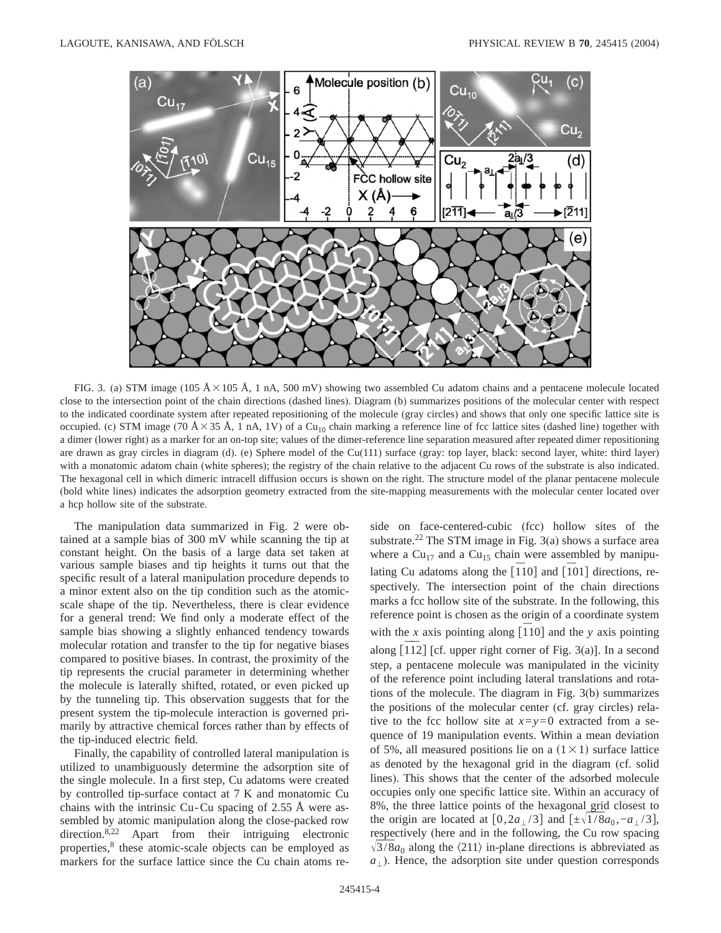

FIG. 3. (a) STM image (105  $\AA \times 105$   $\AA$ , 1 nA, 500 mV) showing two assembled Cu adatom chains and a pentacene molecule located close to the intersection point of the chain directions (dashed lines). Diagram (b) summarizes positions of the molecular center with respect to the indicated coordinate system after repeated repositioning of the molecule (gray circles) and shows that only one specific lattice site is occupied. (c) STM image (70 Å  $\times$  35 Å, 1 nA, 1V) of a Cu<sub>10</sub> chain marking a reference line of fcc lattice sites (dashed line) together with a dimer (lower right) as a marker for an on-top site; values of the dimer-reference line separation measured after repeated dimer repositioning are drawn as gray circles in diagram (d). (e) Sphere model of the Cu(111) surface (gray: top layer, black: second layer, white: third layer) with a monatomic adatom chain (white spheres); the registry of the chain relative to the adjacent Cu rows of the substrate is also indicated. The hexagonal cell in which dimeric intracell diffusion occurs is shown on the right. The structure model of the planar pentacene molecule (bold white lines) indicates the adsorption geometry extracted from the site-mapping measurements with the molecular center located over a hcp hollow site of the substrate.

The manipulation data summarized in Fig. 2 were obtained at a sample bias of 300 mV while scanning the tip at constant height. On the basis of a large data set taken at various sample biases and tip heights it turns out that the specific result of a lateral manipulation procedure depends to a minor extent also on the tip condition such as the atomicscale shape of the tip. Nevertheless, there is clear evidence for a general trend: We find only a moderate effect of the sample bias showing a slightly enhanced tendency towards molecular rotation and transfer to the tip for negative biases compared to positive biases. In contrast, the proximity of the tip represents the crucial parameter in determining whether the molecule is laterally shifted, rotated, or even picked up by the tunneling tip. This observation suggests that for the present system the tip-molecule interaction is governed primarily by attractive chemical forces rather than by effects of the tip-induced electric field.

Finally, the capability of controlled lateral manipulation is utilized to unambiguously determine the adsorption site of the single molecule. In a first step, Cu adatoms were created by controlled tip-surface contact at 7 K and monatomic Cu chains with the intrinsic Cu-Cu spacing of 2.55 Å were assembled by atomic manipulation along the close-packed row direction.<sup>8,22</sup> Apart from their intriguing electronic properties,<sup>8</sup> these atomic-scale objects can be employed as markers for the surface lattice since the Cu chain atoms reside on face-centered-cubic (fcc) hollow sites of the substrate.<sup>22</sup> The STM image in Fig.  $3(a)$  shows a surface area where a  $Cu_{17}$  and a  $Cu_{15}$  chain were assembled by manipulating Cu adatoms along the  $\overline{[110]}$  and  $\overline{[101]}$  directions, respectively. The intersection point of the chain directions marks a fcc hollow site of the substrate. In the following, this reference point is chosen as the origin of a coordinate system with the *x* axis pointing along  $\begin{bmatrix} 1 & 10 \end{bmatrix}$  and the *y* axis pointing along  $\left[\overline{112}\right]$  [cf. upper right corner of Fig. 3(a)]. In a second step, a pentacene molecule was manipulated in the vicinity of the reference point including lateral translations and rotations of the molecule. The diagram in Fig. 3(b) summarizes the positions of the molecular center (cf. gray circles) relative to the fcc hollow site at  $x=y=0$  extracted from a sequence of 19 manipulation events. Within a mean deviation of 5%, all measured positions lie on a  $(1 \times 1)$  surface lattice as denoted by the hexagonal grid in the diagram (cf. solid lines). This shows that the center of the adsorbed molecule occupies only one specific lattice site. Within an accuracy of 8%, the three lattice points of the hexagonal grid closest to the origin are located at  $[0,2a_1/3]$  and  $[\pm \sqrt{1/8}a_0, -a_1/3]$ , respectively (here and in the following, the Cu row spacing  $\sqrt{3/8a_0}$  along the  $\langle 211 \rangle$  in-plane directions is abbreviated as  $a_{\perp}$ ). Hence, the adsorption site under question corresponds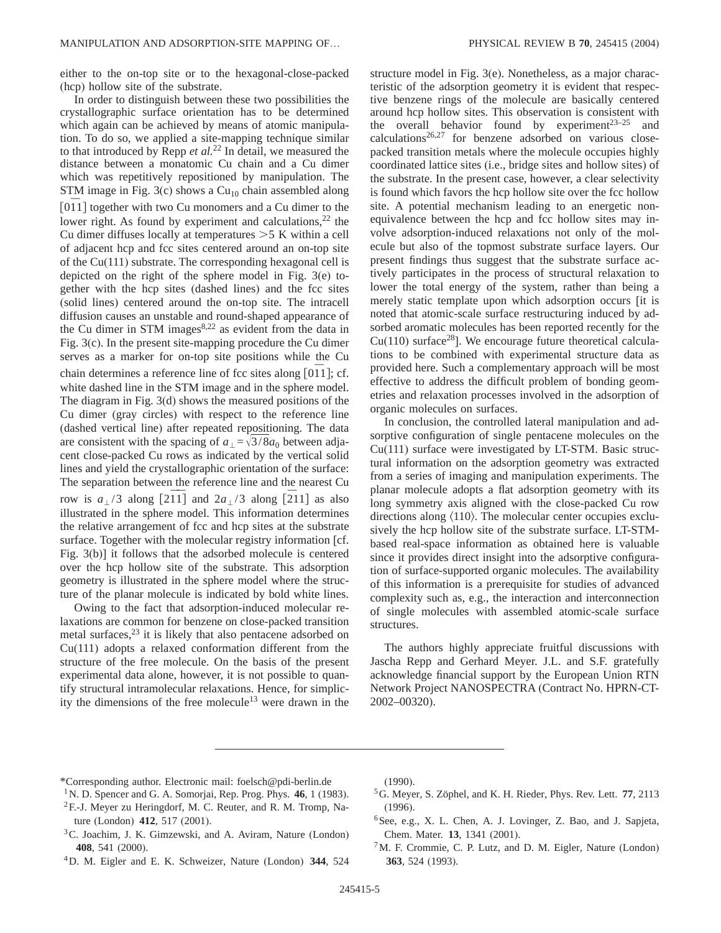either to the on-top site or to the hexagonal-close-packed (hcp) hollow site of the substrate.

In order to distinguish between these two possibilities the crystallographic surface orientation has to be determined which again can be achieved by means of atomic manipulation. To do so, we applied a site-mapping technique similar to that introduced by Repp *et al.*<sup>22</sup> In detail, we measured the distance between a monatomic Cu chain and a Cu dimer which was repetitively repositioned by manipulation. The STM image in Fig. 3(c) shows a  $Cu<sub>10</sub>$  chain assembled along  $\lfloor 011 \rfloor$  together with two Cu monomers and a Cu dimer to the lower right. As found by experiment and calculations,  $2^2$  the Cu dimer diffuses locally at temperatures  $>5$  K within a cell of adjacent hcp and fcc sites centered around an on-top site of the Cu(111) substrate. The corresponding hexagonal cell is depicted on the right of the sphere model in Fig. 3(e) together with the hcp sites (dashed lines) and the fcc sites (solid lines) centered around the on-top site. The intracell diffusion causes an unstable and round-shaped appearance of the Cu dimer in STM images $8,22$  as evident from the data in Fig. 3(c). In the present site-mapping procedure the Cu dimer serves as a marker for on-top site positions while the Cu chain determines a reference line of fcc sites along [011]; cf. white dashed line in the STM image and in the sphere model. The diagram in Fig. 3(d) shows the measured positions of the Cu dimer (gray circles) with respect to the reference line (dashed vertical line) after repeated repositioning. The data are consistent with the spacing of  $a_{\perp} = \sqrt{3}/8a_0$  between adjacent close-packed Cu rows as indicated by the vertical solid lines and yield the crystallographic orientation of the surface: The separation between the reference line and the nearest Cu row is  $a_{\perp}/3$  along [2 $\overline{11}$ ] and  $2a_{\perp}/3$  along [2 $\overline{2}11$ ] as also illustrated in the sphere model. This information determines the relative arrangement of fcc and hcp sites at the substrate surface. Together with the molecular registry information [cf. Fig. 3(b)] it follows that the adsorbed molecule is centered over the hcp hollow site of the substrate. This adsorption geometry is illustrated in the sphere model where the structure of the planar molecule is indicated by bold white lines.

Owing to the fact that adsorption-induced molecular relaxations are common for benzene on close-packed transition metal surfaces,<sup>23</sup> it is likely that also pentacene adsorbed on Cu(111) adopts a relaxed conformation different from the structure of the free molecule. On the basis of the present experimental data alone, however, it is not possible to quantify structural intramolecular relaxations. Hence, for simplicity the dimensions of the free molecule<sup>13</sup> were drawn in the structure model in Fig. 3(e). Nonetheless, as a major characteristic of the adsorption geometry it is evident that respective benzene rings of the molecule are basically centered around hcp hollow sites. This observation is consistent with the overall behavior found by experiment<sup>23–25</sup> and  $calculations<sup>26,27</sup>$  for benzene adsorbed on various closepacked transition metals where the molecule occupies highly coordinated lattice sites (i.e., bridge sites and hollow sites) of the substrate. In the present case, however, a clear selectivity is found which favors the hcp hollow site over the fcc hollow site. A potential mechanism leading to an energetic nonequivalence between the hcp and fcc hollow sites may involve adsorption-induced relaxations not only of the molecule but also of the topmost substrate surface layers. Our present findings thus suggest that the substrate surface actively participates in the process of structural relaxation to lower the total energy of the system, rather than being a merely static template upon which adsorption occurs [it is noted that atomic-scale surface restructuring induced by adsorbed aromatic molecules has been reported recently for the  $Cu(110)$  surface<sup>28</sup>]. We encourage future theoretical calculations to be combined with experimental structure data as provided here. Such a complementary approach will be most effective to address the difficult problem of bonding geometries and relaxation processes involved in the adsorption of organic molecules on surfaces.

In conclusion, the controlled lateral manipulation and adsorptive configuration of single pentacene molecules on the Cu(111) surface were investigated by LT-STM. Basic structural information on the adsorption geometry was extracted from a series of imaging and manipulation experiments. The planar molecule adopts a flat adsorption geometry with its long symmetry axis aligned with the close-packed Cu row directions along  $\langle 110 \rangle$ . The molecular center occupies exclusively the hcp hollow site of the substrate surface. LT-STMbased real-space information as obtained here is valuable since it provides direct insight into the adsorptive configuration of surface-supported organic molecules. The availability of this information is a prerequisite for studies of advanced complexity such as, e.g., the interaction and interconnection of single molecules with assembled atomic-scale surface structures.

The authors highly appreciate fruitful discussions with Jascha Repp and Gerhard Meyer. J.L. and S.F. gratefully acknowledge financial support by the European Union RTN Network Project NANOSPECTRA (Contract No. HPRN-CT-2002–00320).

- \*Corresponding author. Electronic mail: foelsch@pdi-berlin.de
- 1N. D. Spencer and G. A. Somorjai, Rep. Prog. Phys. **46**, 1 (1983). <sup>2</sup>F.-J. Meyer zu Heringdorf, M. C. Reuter, and R. M. Tromp, Nature (London) **412**, 517 (2001).
- 3C. Joachim, J. K. Gimzewski, and A. Aviram, Nature (London) **408**, 541 (2000).
- 4D. M. Eigler and E. K. Schweizer, Nature (London) **344**, 524

(1990).

- 5G. Meyer, S. Zöphel, and K. H. Rieder, Phys. Rev. Lett. **77**, 2113 (1996).
- <sup>6</sup>See, e.g., X. L. Chen, A. J. Lovinger, Z. Bao, and J. Sapjeta, Chem. Mater. **13**, 1341 (2001).
- 7M. F. Crommie, C. P. Lutz, and D. M. Eigler, Nature (London) **363**, 524 (1993).